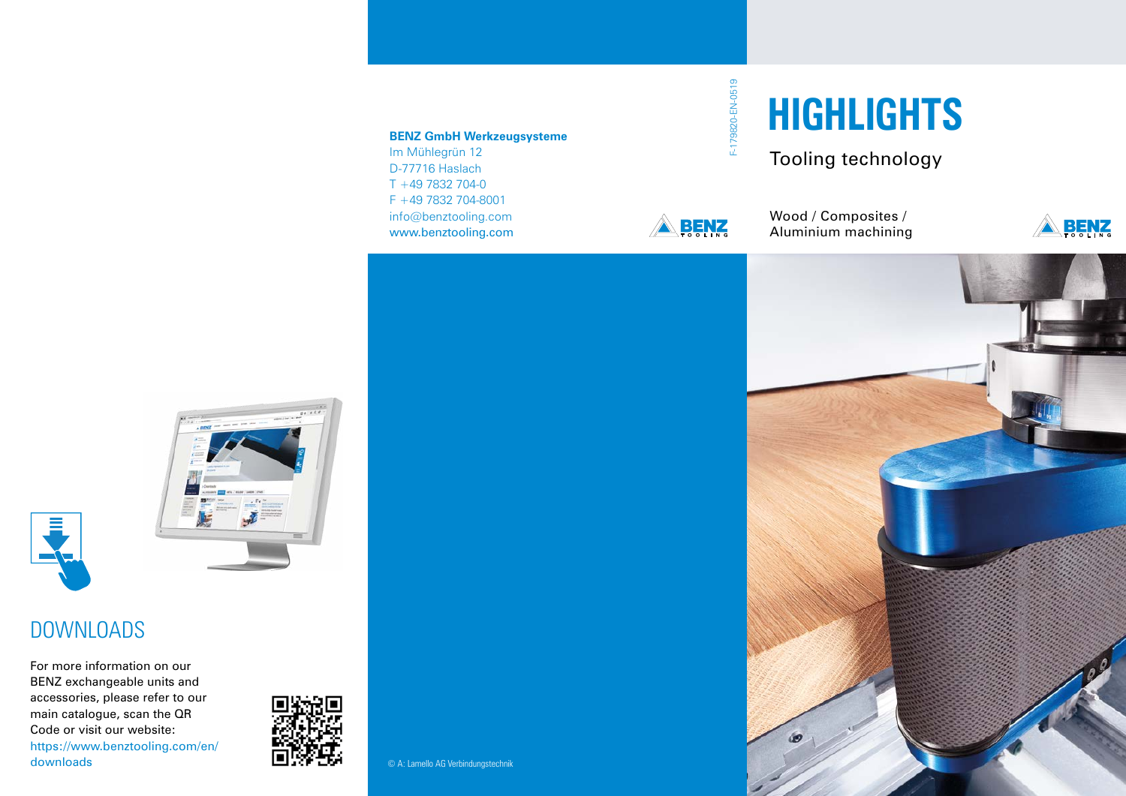#### **BENZ GmbH Werkzeugsysteme**

Im Mühlegrün 12 D-77716 Haslach T +49 7832 704-0 F +49 7832 704-8001 info@benztooling.com www.benztooling.com

# F-179820-EN-0519 F-179820-EN-0519



Wood / Composites / Aluminium machining

Tooling technology

**HIGHLIGHTS**









### DOWNLOADS

For more information on our BENZ exchangeable units and accessories, please refer to our main catalogue, scan the QR Code or visit our website: https://www.benztooling.com/en/ downloads 
■<del>WIDEN</del> 
© A: Lamello AG Verbindungstechnik